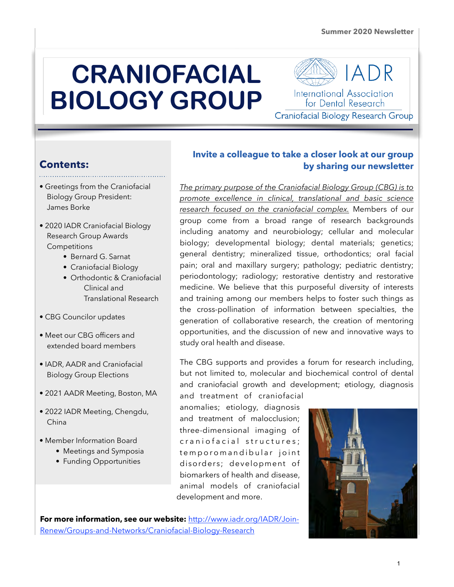# **CRANIOFACIAL BIOLOGY GROUP**

International Association for Dental Research Craniofacial Biology Research Group

## **Contents:**

- Greetings from the Craniofacial Biology Group President: James Borke
- 2020 IADR Craniofacial Biology Research Group Awards **Competitions** 
	- Bernard G. Sarnat
	- Craniofacial Biology
	- Orthodontic & Craniofacial Clinical and Translational Research
- CBG Councilor updates
- Meet our CBG officers and extended board members
- IADR, AADR and Craniofacial Biology Group Elections
- 2021 AADR Meeting, Boston, MA
- 2022 IADR Meeting, Chengdu, China
- Member Information Board
	- Meetings and Symposia
	- Funding Opportunities

#### **Invite a colleague to take a closer look at our group by sharing our newsletter**

*The primary purpose of the Craniofacial Biology Group (CBG) is to promote excellence in clinical, translational and basic science research focused on the craniofacial complex.* Members of our group come from a broad range of research backgrounds including anatomy and neurobiology; cellular and molecular biology; developmental biology; dental materials; genetics; general dentistry; mineralized tissue, orthodontics; oral facial pain; oral and maxillary surgery; pathology; pediatric dentistry; periodontology; radiology; restorative dentistry and restorative medicine. We believe that this purposeful diversity of interests and training among our members helps to foster such things as the cross-pollination of information between specialties, the generation of collaborative research, the creation of mentoring opportunities, and the discussion of new and innovative ways to study oral health and disease.

The CBG supports and provides a forum for research including, but not limited to, molecular and biochemical control of dental and craniofacial growth and development; etiology, diagnosis

and treatment of craniofacial anomalies; etiology, diagnosis and treatment of malocclusion; three-dimensional imaging of c r a n i o f a c i a l s t r u c t u r e s : tem poromandibular joint disorders; development of biomarkers of health and disease, animal models of craniofacial development and more.



**For more information, see our website:** [http://www.iadr.org/IADR/Join-](http://www.iadr.org/IADR/Join-Renew/Groups-and-Networks/Craniofacial-Biology-Research)[Renew/Groups-and-Networks/Craniofacial-Biology-Research](http://www.iadr.org/IADR/Join-Renew/Groups-and-Networks/Craniofacial-Biology-Research)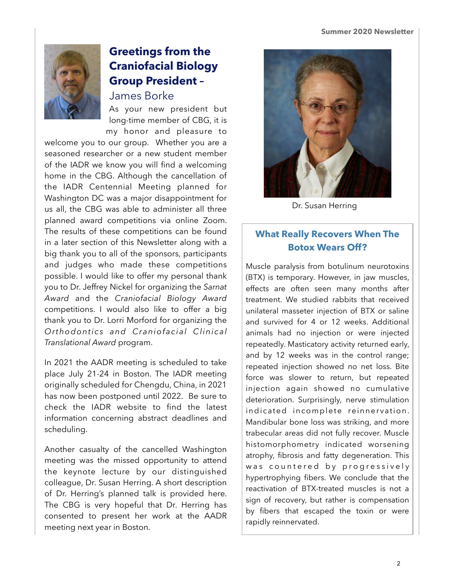

# **Greetings from the Craniofacial Biology Group President –**

James Borke

As your new president but long-time member of CBG, it is my honor and pleasure to

welcome you to our group. Whether you are a seasoned researcher or a new student member of the IADR we know you will find a welcoming home in the CBG. Although the cancellation of the IADR Centennial Meeting planned for Washington DC was a major disappointment for us all, the CBG was able to administer all three planned award competitions via online Zoom. The results of these competitions can be found in a later section of this Newsletter along with a big thank you to all of the sponsors, participants and judges who made these competitions possible. I would like to offer my personal thank you to Dr. Jeffrey Nickel for organizing the *Sarnat Award* and the *Craniofacial Biology Award* competitions. I would also like to offer a big thank you to Dr. Lorri Morford for organizing the *Orthodontics and Craniofacial Clinical Translational Award* program.

In 2021 the AADR meeting is scheduled to take place July 21-24 in Boston. The IADR meeting originally scheduled for Chengdu, China, in 2021 has now been postponed until 2022. Be sure to check the IADR website to find the latest information concerning abstract deadlines and scheduling.

Another casualty of the cancelled Washington meeting was the missed opportunity to attend the keynote lecture by our distinguished colleague, Dr. Susan Herring. A short description of Dr. Herring's planned talk is provided here. The CBG is very hopeful that Dr. Herring has consented to present her work at the AADR meeting next year in Boston.



Dr. Susan Herring

### **What Really Recovers When The Botox Wears Off?**

Muscle paralysis from botulinum neurotoxins (BTX) is temporary. However, in jaw muscles, effects are often seen many months after treatment. We studied rabbits that received unilateral masseter injection of BTX or saline and survived for 4 or 12 weeks. Additional animals had no injection or were injected repeatedly. Masticatory activity returned early, and by 12 weeks was in the control range; repeated injection showed no net loss. Bite force was slower to return, but repeated injection again showed no cumulative deterioration. Surprisingly, nerve stimulation indicated incomplete reinnervation. Mandibular bone loss was striking, and more trabecular areas did not fully recover. Muscle histomorphometry indicated worsening atrophy, fibrosis and fatty degeneration. This was countered by progressively hypertrophying fibers. We conclude that the reactivation of BTX-treated muscles is not a sign of recovery, but rather is compensation by fibers that escaped the toxin or were rapidly reinnervated.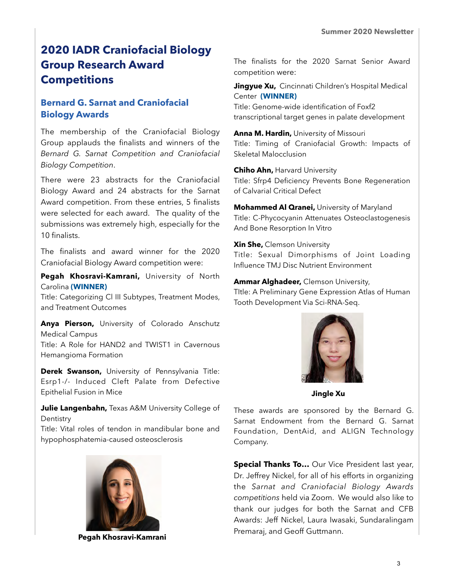# **2020 IADR Craniofacial Biology Group Research Award Competitions**

#### **Bernard G. Sarnat and Craniofacial Biology Awards**

The membership of the Craniofacial Biology Group applauds the finalists and winners of the *Bernard G. Sarnat Competition and Craniofacial Biology Competition*.

There were 23 abstracts for the Craniofacial Biology Award and 24 abstracts for the Sarnat Award competition. From these entries, 5 finalists were selected for each award. The quality of the submissions was extremely high, especially for the 10 finalists.

The finalists and award winner for the 2020 Craniofacial Biology Award competition were:

**Pegah Khosravi-Kamrani,** University of North Carolina **(WINNER)** 

Title: Categorizing Cl III Subtypes, Treatment Modes, and Treatment Outcomes

**Anya Pierson,** University of Colorado Anschutz Medical Campus Title: A Role for HAND2 and TWIST1 in Cavernous Hemangioma Formation

**Derek Swanson,** University of Pennsylvania Title: Esrp1-/- Induced Cleft Palate from Defective Epithelial Fusion in Mice

**Julie Langenbahn,** Texas A&M University College of **Dentistry** 

Title: Vital roles of tendon in mandibular bone and hypophosphatemia-caused osteosclerosis



The finalists for the 2020 Sarnat Senior Award competition were:

**Jingyue Xu, Cincinnati Children's Hospital Medical** Center **(WINNER)** Title: Genome-wide identification of Foxf2 transcriptional target genes in palate development

**Anna M. Hardin,** University of Missouri Title: Timing of Craniofacial Growth: Impacts of Skeletal Malocclusion

**Chiho Ahn,** Harvard University Title: Sfrp4 Deficiency Prevents Bone Regeneration of Calvarial Critical Defect

**Mohammed Al Qranei,** University of Maryland Title: C-Phycocyanin Attenuates Osteoclastogenesis And Bone Resorption In Vitro

**Xin She,** Clemson University Title: Sexual Dimorphisms of Joint Loading Influence TMJ Disc Nutrient Environment

**Ammar Alghadeer,** Clemson University, TItle: A Preliminary Gene Expression Atlas of Human Tooth Development Via Sci-RNA-Seq.



 **Jingle Xu**

These awards are sponsored by the Bernard G. Sarnat Endowment from the Bernard G. Sarnat Foundation, DentAid, and ALIGN Technology Company.

**Special Thanks To…** Our Vice President last year, Dr. Jeffrey Nickel, for all of his efforts in organizing the *Sarnat and Craniofacial Biology Awards competitions* held via Zoom. We would also like to thank our judges for both the Sarnat and CFB Awards: Jeff Nickel, Laura Iwasaki, Sundaralingam Premaraj, and Geoff Guttmann. **Pegah Khosravi-Kamrani**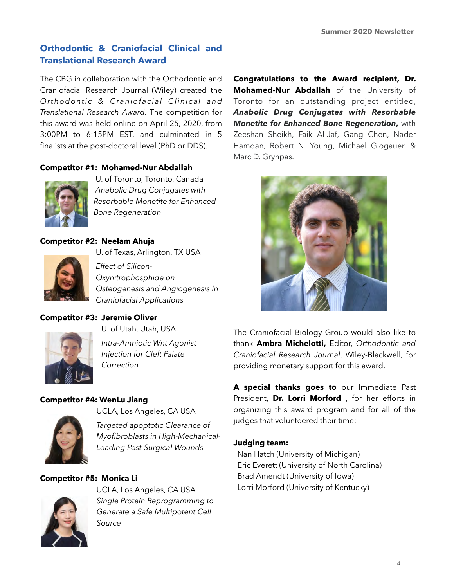#### **Orthodontic & Craniofacial Clinical and Translational Research Award**

The CBG in collaboration with the Orthodontic and Craniofacial Research Journal (Wiley) created the *Orthodontic & Craniofacial Clinical and Translational Research Award.* The competition for this award was held online on April 25, 2020, from 3:00PM to 6:15PM EST, and culminated in 5 finalists at the post-doctoral level (PhD or DDS).

#### **Competitor #1: Mohamed-Nur Abdallah**



U. of Toronto, Toronto, Canada *Anabolic Drug Conjugates with Resorbable Monetite for Enhanced Bone Regeneration*

#### **Competitor #2: Neelam Ahuja**



U. of Texas, Arlington, TX USA *Effect of Silicon-Oxynitrophosphide on Osteogenesis and Angiogenesis In* 

#### **Competitor #3: Jeremie Oliver**



U. of Utah, Utah, USA

*Craniofacial Applications* 

*Intra-Amniotic Wnt Agonist Injection for Cleft Palate Correction* 

#### **Competitor #4: WenLu Jiang**



UCLA, Los Angeles, CA USA

*Targeted apoptotic Clearance of Myofibroblasts in High-Mechanical-Loading Post-Surgical Wounds* 

#### **Competitor #5: Monica Li**



UCLA, Los Angeles, CA USA *Single Protein Reprogramming to Generate a Safe Multipotent Cell Source* 

**Congratulations to the Award recipient, Dr. Mohamed-Nur Abdallah** of the University of Toronto for an outstanding project entitled, *Anabolic Drug Conjugates with Resorbable Monetite for Enhanced Bone Regeneration***,** with Zeeshan Sheikh, Faik Al-Jaf, Gang Chen, Nader Hamdan, Robert N. Young, Michael Glogauer, & Marc D. Grynpas.



The Craniofacial Biology Group would also like to thank **Ambra Michelotti,** Editor, *Orthodontic and Craniofacial Research Journal*, Wiley-Blackwell, for providing monetary support for this award.

**A special thanks goes to** our Immediate Past President, **Dr. Lorri Morford** , for her efforts in organizing this award program and for all of the judges that volunteered their time:

#### **Judging team:**

 Nan Hatch (University of Michigan) Eric Everett (University of North Carolina) Brad Amendt (University of Iowa) Lorri Morford (University of Kentucky)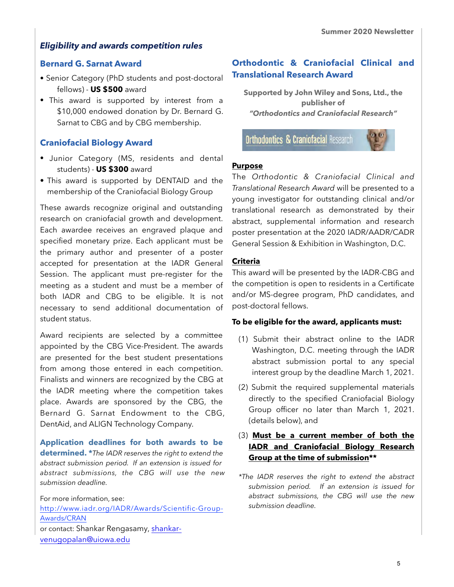#### *Eligibility and awards competition rules*

#### **Bernard G. Sarnat Award**

- Senior Category (PhD students and post-doctoral fellows) - **US \$500** award
- This award is supported by interest from a \$10,000 endowed donation by Dr. Bernard G. Sarnat to CBG and by CBG membership.

#### **Craniofacial Biology Award**

- Junior Category (MS, residents and dental students) - **US \$300** award
- This award is supported by DENTAID and the membership of the Craniofacial Biology Group

These awards recognize original and outstanding research on craniofacial growth and development. Each awardee receives an engraved plaque and specified monetary prize. Each applicant must be the primary author and presenter of a poster accepted for presentation at the IADR General Session. The applicant must pre-register for the meeting as a student and must be a member of both IADR and CBG to be eligible. It is not necessary to send additional documentation of student status.

Award recipients are selected by a committee appointed by the CBG Vice-President. The awards are presented for the best student presentations from among those entered in each competition. Finalists and winners are recognized by the CBG at the IADR meeting where the competition takes place. Awards are sponsored by the CBG, the Bernard G. Sarnat Endowment to the CBG, DentAid, and ALIGN Technology Company.

**Application deadlines for both awards to be determined. \****The IADR reserves the right to extend the abstract submission period. If an extension is issued for abstract submissions, the CBG will use the new submission deadline.* 

For more information, see: [http://www.iadr.org/IADR/Awards/Scientific-Group-](http://www.iadr.org/IADR/Awards/Scientific-Group-Awards/CRAN)[Awards/CRAN](http://www.iadr.org/IADR/Awards/Scientific-Group-Awards/CRAN) or contact: Shankar Rengasamy, shankar[venugopalan@uiowa.edu](mailto:rengavs@umkc.edu)

#### **Orthodontic & Craniofacial Clinical and Translational Research Award**

**Supported by John Wiley and Sons, Ltd., the publisher of**  *"Orthodontics and Craniofacial Research"* 

**Orthodontics & Craniofacial Research** 



#### **Purpose**

The *Orthodontic & Craniofacial Clinical and Translational Research Award* will be presented to a young investigator for outstanding clinical and/or translational research as demonstrated by their abstract, supplemental information and research poster presentation at the 2020 IADR/AADR/CADR General Session & Exhibition in Washington, D.C.

#### **Criteria**

This award will be presented by the IADR-CBG and the competition is open to residents in a Certificate and/or MS-degree program, PhD candidates, and post-doctoral fellows.

#### **To be eligible for the award, applicants must:**

- (1) Submit their abstract online to the IADR Washington, D.C. meeting through the IADR abstract submission portal to any special interest group by the deadline March 1, 2021.
- (2) Submit the required supplemental materials directly to the specified Craniofacial Biology Group officer no later than March 1, 2021. (details below), and

#### (3) **Must be a current member of both the IADR and Craniofacial Biology Research Group at the time of submission\*\***

*\*The IADR reserves the right to extend the abstract submission period. If an extension is issued for abstract submissions, the CBG will use the new submission deadline.*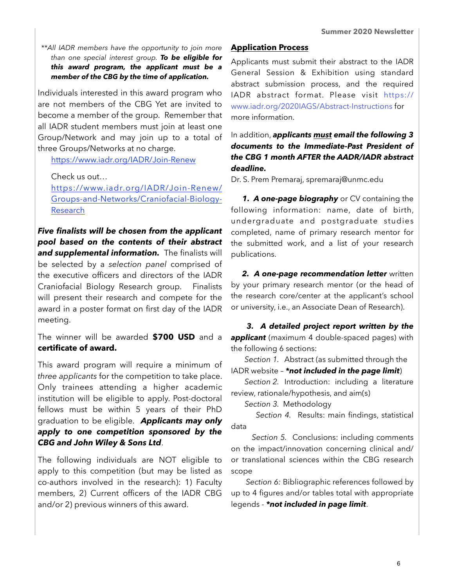*\*\*All IADR members have the opportunity to join more than one special interest group. To be eligible for this award program, the applicant must be a member of the CBG by the time of application.*

Individuals interested in this award program who are not members of the CBG Yet are invited to become a member of the group. Remember that all IADR student members must join at least one Group/Network and may join up to a total of three Groups/Networks at no charge.

<https://www.iadr.org/IADR/Join-Renew>

Check us out…

https://www.iadr.org/IADR/Join-Renew/ [Groups-and-Networks/Craniofacial-Biology-](https://www.iadr.org/IADR/Join-Renew/Groups-and-Networks/Craniofacial-Biology-Research)[Research](https://www.iadr.org/IADR/Join-Renew/Groups-and-Networks/Craniofacial-Biology-Research)

*Five finalists will be chosen from the applicant pool based on the contents of their abstract and supplemental information.* The finalists will be selected by a *selection panel* comprised of the executive officers and directors of the IADR Craniofacial Biology Research group. Finalists will present their research and compete for the award in a poster format on first day of the IADR meeting.

The winner will be awarded **\$700 USD** and a **certificate of award.**

This award program will require a minimum of *three applicants* for the competition to take place. Only trainees attending a higher academic institution will be eligible to apply. Post-doctoral fellows must be within 5 years of their PhD graduation to be eligible. *Applicants may only apply to one competition sponsored by the CBG and John Wiley & Sons Ltd*.

The following individuals are NOT eligible to apply to this competition (but may be listed as co-authors involved in the research): 1) Faculty members, 2) Current officers of the IADR CBG and/or 2) previous winners of this award.

#### **Application Process**

Applicants must submit their abstract to the IADR General Session & Exhibition using standard abstract submission process, and the required IADR abstract format. Please visit [https://](https://www.iadr.org/2020IAGS/Abstract-Instructions) [www.iadr.org/2020IAGS/Abstract-Instructions](https://www.iadr.org/2020IAGS/Abstract-Instructions) for more information.

In addition, *applicants must email the following 3 documents to the Immediate-Past President of the CBG 1 month AFTER the AADR/IADR abstract deadline.*

Dr. S. Prem Premaraj, [spremaraj@unmc.edu](mailto:spremaraj@unmc.edu)

*1. A one-page biography* or CV containing the following information: name, date of birth, undergraduate and postgraduate studies completed, name of primary research mentor for the submitted work, and a list of your research publications.

*2. A one-page recommendation letter* written by your primary research mentor (or the head of the research core/center at the applicant's school or university, i.e., an Associate Dean of Research).

*3. A detailed project report written by the applicant* (maximum 4 double-spaced pages) with the following 6 sections:

 *Section 1.* Abstract (as submitted through the IADR website – *\*not included in the page limit*)

 *Section 2.* Introduction: including a literature review, rationale/hypothesis, and aim(s)

*Section 3.* Methodology

 *Section 4.* Results: main findings, statistical data

 *Section 5.* Conclusions: including comments on the impact/innovation concerning clinical and/ or translational sciences within the CBG research scope

 *Section 6:* Bibliographic references followed by up to 4 figures and/or tables total with appropriate legends - *\*not included in page limit*.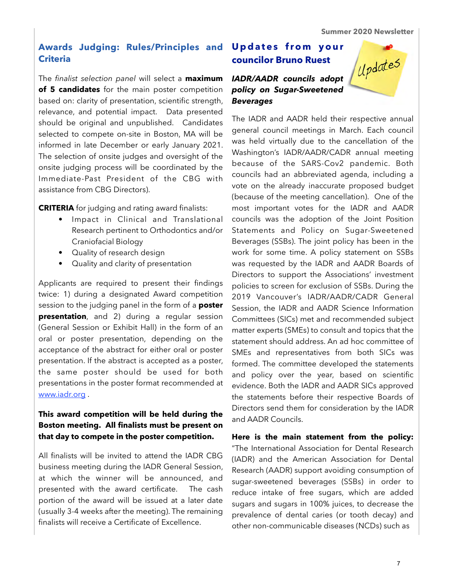#### **Awards Judging: Rules/Principles and Criteria**

The *finalist selection panel* will select a **maximum of 5 candidates** for the main poster competition based on: clarity of presentation, scientific strength, relevance, and potential impact. Data presented should be original and unpublished. Candidates selected to compete on-site in Boston, MA will be informed in late December or early January 2021. The selection of onsite judges and oversight of the onsite judging process will be coordinated by the Immediate-Past President of the CBG with assistance from CBG Directors).

**CRITERIA** for judging and rating award finalists:

- Impact in Clinical and Translational Research pertinent to Orthodontics and/or Craniofacial Biology
- Quality of research design
- Quality and clarity of presentation

Applicants are required to present their findings twice: 1) during a designated Award competition session to the judging panel in the form of a **poster presentation**, and 2) during a regular session (General Session or Exhibit Hall) in the form of an oral or poster presentation, depending on the acceptance of the abstract for either oral or poster presentation. If the abstract is accepted as a poster, the same poster should be used for both presentations in the poster format recommended at [www.iadr.org](http://www.iadr.org) .

#### **This award competition will be held during the Boston meeting. All finalists must be present on that day to compete in the poster competition.**

All finalists will be invited to attend the IADR CBG business meeting during the IADR General Session, at which the winner will be announced, and presented with the award certificate. The cash portion of the award will be issued at a later date (usually 3-4 weeks after the meeting). The remaining finalists will receive a Certificate of Excellence.

#### **Updates from your councilor Bruno Ruest**

#### *IADR/AADR councils adopt policy on Sugar-Sweetened Beverages*



The IADR and AADR held their respective annual general council meetings in March. Each council was held virtually due to the cancellation of the Washington's IADR/AADR/CADR annual meeting because of the SARS-Cov2 pandemic. Both councils had an abbreviated agenda, including a vote on the already inaccurate proposed budget (because of the meeting cancellation). One of the most important votes for the IADR and AADR councils was the adoption of the Joint Position Statements and Policy on Sugar-Sweetened Beverages (SSBs). The joint policy has been in the work for some time. A policy statement on SSBs was requested by the IADR and AADR Boards of Directors to support the Associations' investment policies to screen for exclusion of SSBs. During the 2019 Vancouver's IADR/AADR/CADR General Session, the IADR and AADR Science Information Committees (SICs) met and recommended subject matter experts (SMEs) to consult and topics that the statement should address. An ad hoc committee of SMEs and representatives from both SICs was formed. The committee developed the statements and policy over the year, based on scientific evidence. Both the IADR and AADR SICs approved the statements before their respective Boards of Directors send them for consideration by the IADR and AADR Councils.

**Here is the main statement from the policy:**  "The International Association for Dental Research (IADR) and the American Association for Dental Research (AADR) support avoiding consumption of sugar-sweetened beverages (SSBs) in order to reduce intake of free sugars, which are added sugars and sugars in 100% juices, to decrease the prevalence of dental caries (or tooth decay) and other non-communicable diseases (NCDs) such as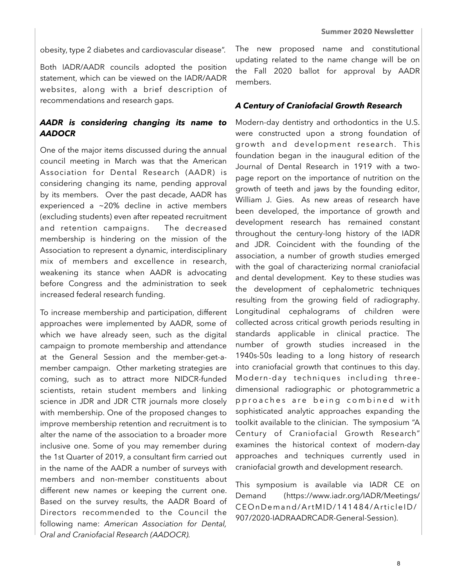obesity, type 2 diabetes and cardiovascular disease".

Both IADR/AADR councils adopted the position statement, which can be viewed on the IADR/AADR websites, along with a brief description of recommendations and research gaps.

#### *AADR is considering changing its name to AADOCR*

One of the major items discussed during the annual council meeting in March was that the American Association for Dental Research (AADR) is considering changing its name, pending approval by its members. Over the past decade, AADR has experienced a ~20% decline in active members (excluding students) even after repeated recruitment and retention campaigns. The decreased membership is hindering on the mission of the Association to represent a dynamic, interdisciplinary mix of members and excellence in research, weakening its stance when AADR is advocating before Congress and the administration to seek increased federal research funding.

To increase membership and participation, different approaches were implemented by AADR, some of which we have already seen, such as the digital campaign to promote membership and attendance at the General Session and the member-get-amember campaign. Other marketing strategies are coming, such as to attract more NIDCR-funded scientists, retain student members and linking science in JDR and JDR CTR journals more closely with membership. One of the proposed changes to improve membership retention and recruitment is to alter the name of the association to a broader more inclusive one. Some of you may remember during the 1st Quarter of 2019, a consultant firm carried out in the name of the AADR a number of surveys with members and non-member constituents about different new names or keeping the current one. Based on the survey results, the AADR Board of Directors recommended to the Council the following name: *American Association for Dental, Oral and Craniofacial Research (AADOCR).*

The new proposed name and constitutional updating related to the name change will be on the Fall 2020 ballot for approval by AADR members.

#### *A Century of Craniofacial Growth Research*

Modern-day dentistry and orthodontics in the U.S. were constructed upon a strong foundation of growth and development research. This foundation began in the inaugural edition of the Journal of Dental Research in 1919 with a twopage report on the importance of nutrition on the growth of teeth and jaws by the founding editor, William J. Gies. As new areas of research have been developed, the importance of growth and development research has remained constant throughout the century-long history of the IADR and JDR. Coincident with the founding of the association, a number of growth studies emerged with the goal of characterizing normal craniofacial and dental development. Key to these studies was the development of cephalometric techniques resulting from the growing field of radiography. Longitudinal cephalograms of children were collected across critical growth periods resulting in standards applicable in clinical practice. The number of growth studies increased in the 1940s-50s leading to a long history of research into craniofacial growth that continues to this day. Modern-day techniques including threedimensional radiographic or photogrammetric a p p roaches are being combined with sophisticated analytic approaches expanding the toolkit available to the clinician. The symposium "A Century of Craniofacial Growth Research" examines the historical context of modern-day approaches and techniques currently used in craniofacial growth and development research.

This symposium is available via IADR CE on Demand (https://www.iadr.org/IADR/Meetings/ CEOnDemand/ArtMID/141484/ArticleID/ 907/2020-IADRAADRCADR-General-Session).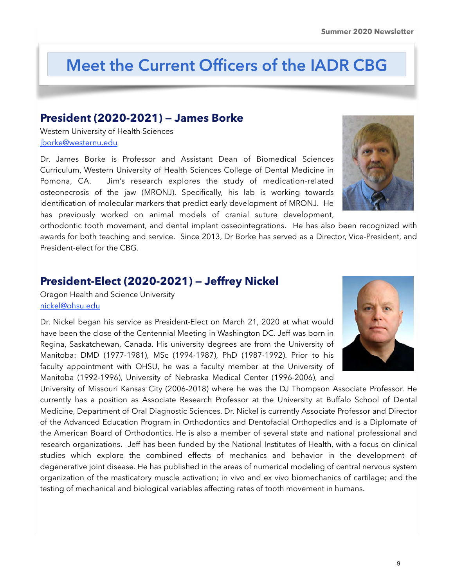# **Meet the Current Officers of the IADR CBG**

#### **President (2020-2021) — James Borke**

Western University of Health Sciences [jborke@westernu.edu](mailto:jborke@westernu.edu)

Dr. James Borke is Professor and Assistant Dean of Biomedical Sciences Curriculum, Western University of Health Sciences College of Dental Medicine in Pomona, CA. Jim's research explores the study of medication-related osteonecrosis of the jaw (MRONJ). Specifically, his lab is working towards identification of molecular markers that predict early development of MRONJ. He has previously worked on animal models of cranial suture development,

orthodontic tooth movement, and dental implant osseointegrations. He has also been recognized with awards for both teaching and service. Since 2013, Dr Borke has served as a Director, Vice-President, and President-elect for the CBG.

## **President-Elect (2020-2021) — Jeffrey Nickel**

Oregon Health and Science University [nickel@ohsu.edu](mailto:nickel@ohsu.edu)

Dr. Nickel began his service as President-Elect on March 21, 2020 at what would have been the close of the Centennial Meeting in Washington DC. Jeff was born in Regina, Saskatchewan, Canada. His university degrees are from the University of Manitoba: DMD (1977-1981), MSc (1994-1987), PhD (1987-1992). Prior to his faculty appointment with OHSU, he was a faculty member at the University of Manitoba (1992-1996), University of Nebraska Medical Center (1996-2006), and

University of Missouri Kansas City (2006-2018) where he was the DJ Thompson Associate Professor. He currently has a position as Associate Research Professor at the University at Buffalo School of Dental Medicine, Department of Oral Diagnostic Sciences. Dr. Nickel is currently Associate Professor and Director of the Advanced Education Program in Orthodontics and Dentofacial Orthopedics and is a Diplomate of the American Board of Orthodontics. He is also a member of several state and national professional and research organizations. Jeff has been funded by the National Institutes of Health, with a focus on clinical studies which explore the combined effects of mechanics and behavior in the development of degenerative joint disease. He has published in the areas of numerical modeling of central nervous system organization of the masticatory muscle activation; in vivo and ex vivo biomechanics of cartilage; and the testing of mechanical and biological variables affecting rates of tooth movement in humans.





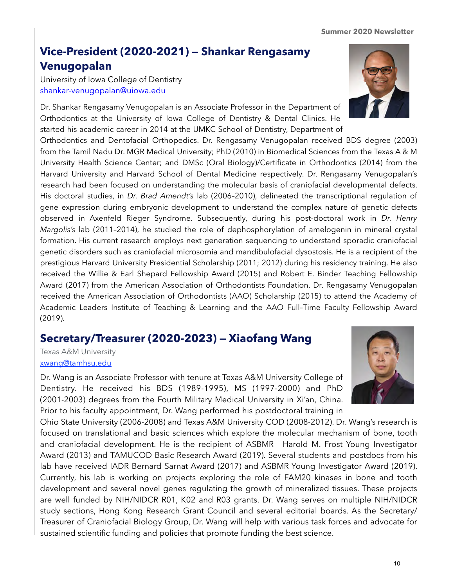#### **Summer 2020 Newsletter**

# **Vice-President (2020-2021) — Shankar Rengasamy Venugopalan**

University of Iowa College of Dentistry [shankar-venugopalan@uiowa.edu](mailto:shankar-venugopalan@uiowa.edu)

Dr. Shankar Rengasamy Venugopalan is an Associate Professor in the Department of Orthodontics at the University of Iowa College of Dentistry & Dental Clinics. He started his academic career in 2014 at the UMKC School of Dentistry, Department of

Orthodontics and Dentofacial Orthopedics. Dr. Rengasamy Venugopalan received BDS degree (2003) from the Tamil Nadu Dr. MGR Medical University; PhD (2010) in Biomedical Sciences from the Texas A & M University Health Science Center; and DMSc (Oral Biology)/Certificate in Orthodontics (2014) from the Harvard University and Harvard School of Dental Medicine respectively. Dr. Rengasamy Venugopalan's research had been focused on understanding the molecular basis of craniofacial developmental defects. His doctoral studies, in *Dr. Brad Amendt's* lab (2006–2010), delineated the transcriptional regulation of gene expression during embryonic development to understand the complex nature of genetic defects observed in Axenfeld Rieger Syndrome. Subsequently, during his post-doctoral work in *Dr. Henry Margolis's* lab (2011–2014), he studied the role of dephosphorylation of amelogenin in mineral crystal formation. His current research employs next generation sequencing to understand sporadic craniofacial genetic disorders such as craniofacial microsomia and mandibulofacial dysostosis. He is a recipient of the prestigious Harvard University Presidential Scholarship (2011; 2012) during his residency training. He also received the Willie & Earl Shepard Fellowship Award (2015) and Robert E. Binder Teaching Fellowship Award (2017) from the American Association of Orthodontists Foundation. Dr. Rengasamy Venugopalan received the American Association of Orthodontists (AAO) Scholarship (2015) to attend the Academy of Academic Leaders Institute of Teaching & Learning and the AAO Full–Time Faculty Fellowship Award (2019).

# **Secretary/Treasurer (2020-2023) — Xiaofang Wang**

Texas A&M University [xwang@tamhsu.edu](mailto:xwang@tamhsu.edu)

Dr. Wang is an Associate Professor with tenure at Texas A&M University College of Dentistry. He received his BDS (1989-1995), MS (1997-2000) and PhD (2001-2003) degrees from the Fourth Military Medical University in Xi'an, China. Prior to his faculty appointment, Dr. Wang performed his postdoctoral training in

Ohio State University (2006-2008) and Texas A&M University COD (2008-2012). Dr. Wang's research is focused on translational and basic sciences which explore the molecular mechanism of bone, tooth and craniofacial development. He is the recipient of ASBMR Harold M. Frost Young Investigator Award (2013) and TAMUCOD Basic Research Award (2019). Several students and postdocs from his lab have received IADR Bernard Sarnat Award (2017) and ASBMR Young Investigator Award (2019). Currently, his lab is working on projects exploring the role of FAM20 kinases in bone and tooth development and several novel genes regulating the growth of mineralized tissues. These projects are well funded by NIH/NIDCR R01, K02 and R03 grants. Dr. Wang serves on multiple NIH/NIDCR study sections, Hong Kong Research Grant Council and several editorial boards. As the Secretary/ Treasurer of Craniofacial Biology Group, Dr. Wang will help with various task forces and advocate for sustained scientific funding and policies that promote funding the best science.



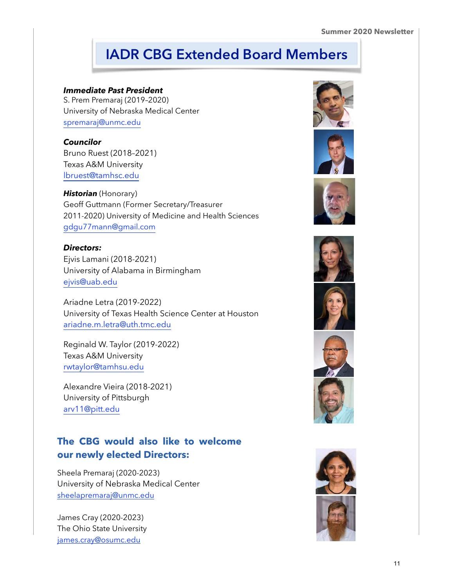# **IADR CBG Extended Board Members**

#### *Immediate Past President*

S. Prem Premaraj (2019–2020) University of Nebraska Medical Center [spremaraj@unmc.edu](mailto:spremaraj@unmc.edu)

#### *Councilor*

Bruno Ruest (2018–2021) Texas A&M University [lbruest@tamhsc.edu](mailto:lbruest@tamhsc.edu) 

**Historian** (Honorary) Geoff Guttmann (Former Secretary/Treasurer 2011-2020) University of Medicine and Health Sciences [gdgu77mann@gmail.com](mailto:gdgu77mann@gmail.com) 

#### *Directors:*

Ejvis Lamani (2018-2021) University of Alabama in Birmingham [ejvis@uab.edu](mailto:ejvis@uab.edu)

Ariadne Letra (2019-2022) University of Texas Health Science Center at Houston [ariadne.m.letra@uth.tmc.edu](mailto:ariadne.m.letra@uth.tmc.edu) 

Reginald W. Taylor (2019-2022) Texas A&M University [rwtaylor@tamhsu.edu](mailto:rwtaylor@tamhsu.edu)

Alexandre Vieira (2018-2021) University of Pittsburgh [arv11@pitt.edu](mailto:arv11@pitt.edu)

# **The CBG would also like to welcome our newly elected Directors:**

Sheela Premaraj (2020-2023) University of Nebraska Medical Center [sheelapremaraj@unmc.edu](mailto:sheelapremaraj@unmc.edu)

James Cray (2020-2023) The Ohio State University [james.cray@osumc.edu](mailto:james.cray@osumc.edu)















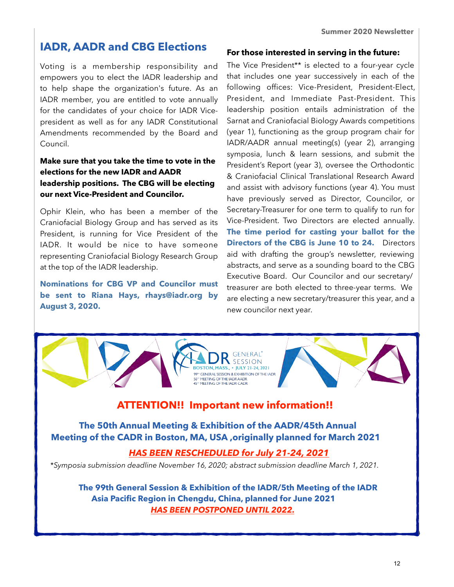# **IADR, AADR and CBG Elections**

Voting is a membership responsibility and empowers you to elect the IADR leadership and to help shape the organization's future. As an IADR member, you are entitled to vote annually for the candidates of your choice for IADR Vicepresident as well as for any IADR Constitutional Amendments recommended by the Board and Council.

#### **Make sure that you take the time to vote in the elections for the new IADR and AADR leadership positions. The CBG will be electing our next Vice-President and Councilor.**

Ophir Klein, who has been a member of the Craniofacial Biology Group and has served as its President, is running for Vice President of the IADR. It would be nice to have someone representing Craniofacial Biology Research Group at the top of the IADR leadership.

**Nominations for CBG VP and Councilor must be sent to Riana Hays, [rhays@iadr.org b](mailto:rhays@iadr.org)y August 3, 2020.** 

#### **For those interested in serving in the future:**

The Vice President\*\* is elected to a four-year cycle that includes one year successively in each of the following offices: Vice-President, President-Elect, President, and Immediate Past-President. This leadership position entails administration of the Sarnat and Craniofacial Biology Awards competitions (year 1), functioning as the group program chair for IADR/AADR annual meeting(s) (year 2), arranging symposia, lunch & learn sessions, and submit the President's Report (year 3), oversee the Orthodontic & Craniofacial Clinical Translational Research Award and assist with advisory functions (year 4). You must have previously served as Director, Councilor, or Secretary-Treasurer for one term to qualify to run for Vice-President. Two Directors are elected annually. **The time period for casting your ballot for the Directors of the CBG is June 10 to 24.** Directors aid with drafting the group's newsletter, reviewing abstracts, and serve as a sounding board to the CBG Executive Board. Our Councilor and our secretary/ treasurer are both elected to three-year terms. We are electing a new secretary/treasurer this year, and a new councilor next year.



 **Meeting of the CADR in Boston, MA, USA ,originally planned for March 2021** 

#### *HAS BEEN RESCHEDULED for July 21-24, 2021*

\**Symposia submission deadline November 16, 2020; abstract submission deadline March 1, 2021.*

 **The 99th General Session & Exhibition of the IADR/5th Meeting of the IADR Asia Pacific Region in Chengdu, China, planned for June 2021**   *HAS BEEN POSTPONED UNTIL 2022.*